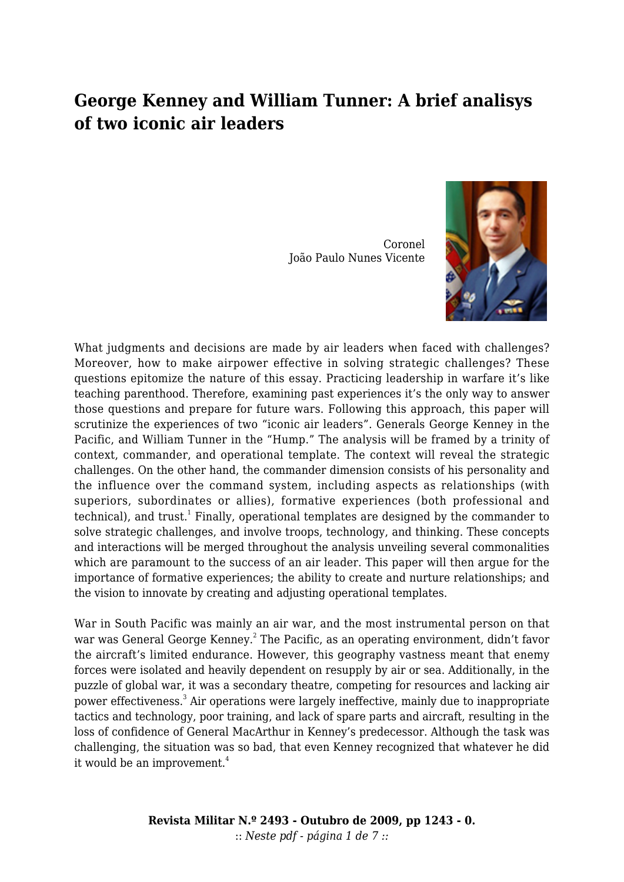## **George Kenney and William Tunner: A brief analisys of two iconic air leaders**

Coronel João Paulo Nunes Vicente



What judgments and decisions are made by air leaders when faced with challenges? Moreover, how to make airpower effective in solving strategic challenges? These questions epitomize the nature of this essay. Practicing leadership in warfare it's like teaching parenthood. Therefore, examining past experiences it's the only way to answer those questions and prepare for future wars. Following this approach, this paper will scrutinize the experiences of two "iconic air leaders". Generals George Kenney in the Pacific, and William Tunner in the "Hump." The analysis will be framed by a trinity of context, commander, and operational template. The context will reveal the strategic challenges. On the other hand, the commander dimension consists of his personality and the influence over the command system, including aspects as relationships (with superiors, subordinates or allies), formative experiences (both professional and technical), and trust.<sup>1</sup> Finally, operational templates are designed by the commander to solve strategic challenges, and involve troops, technology, and thinking. These concepts and interactions will be merged throughout the analysis unveiling several commonalities which are paramount to the success of an air leader. This paper will then argue for the importance of formative experiences; the ability to create and nurture relationships; and the vision to innovate by creating and adjusting operational templates.

War in South Pacific was mainly an air war, and the most instrumental person on that war was General George Kenney.<sup>2</sup> The Pacific, as an operating environment, didn't favor the aircraft's limited endurance. However, this geography vastness meant that enemy forces were isolated and heavily dependent on resupply by air or sea. Additionally, in the puzzle of global war, it was a secondary theatre, competing for resources and lacking air power effectiveness.<sup>3</sup> Air operations were largely ineffective, mainly due to inappropriate tactics and technology, poor training, and lack of spare parts and aircraft, resulting in the loss of confidence of General MacArthur in Kenney's predecessor. Although the task was challenging, the situation was so bad, that even Kenney recognized that whatever he did it would be an improvement.<sup>4</sup>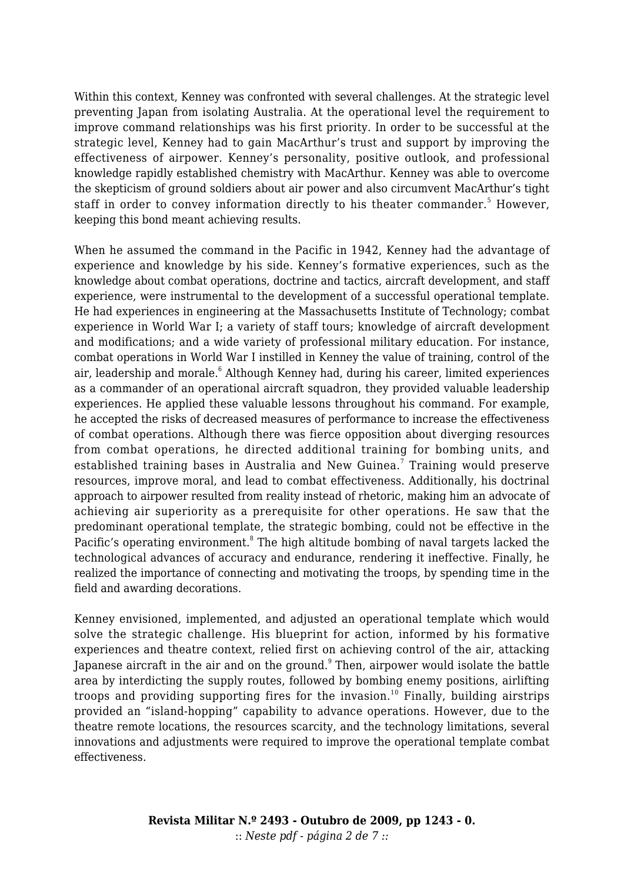Within this context, Kenney was confronted with several challenges. At the strategic level preventing Japan from isolating Australia. At the operational level the requirement to improve command relationships was his first priority. In order to be successful at the strategic level, Kenney had to gain MacArthur's trust and support by improving the effectiveness of airpower. Kenney's personality, positive outlook, and professional knowledge rapidly established chemistry with MacArthur. Kenney was able to overcome the skepticism of ground soldiers about air power and also circumvent MacArthur's tight staff in order to convey information directly to his theater commander.<sup>5</sup> However, keeping this bond meant achieving results.

When he assumed the command in the Pacific in 1942, Kenney had the advantage of experience and knowledge by his side. Kenney's formative experiences, such as the knowledge about combat operations, doctrine and tactics, aircraft development, and staff experience, were instrumental to the development of a successful operational template. He had experiences in engineering at the Massachusetts Institute of Technology; combat experience in World War I; a variety of staff tours; knowledge of aircraft development and modifications; and a wide variety of professional military education. For instance, combat operations in World War I instilled in Kenney the value of training, control of the air, leadership and morale.<sup>6</sup> Although Kenney had, during his career, limited experiences as a commander of an operational aircraft squadron, they provided valuable leadership experiences. He applied these valuable lessons throughout his command. For example, he accepted the risks of decreased measures of performance to increase the effectiveness of combat operations. Although there was fierce opposition about diverging resources from combat operations, he directed additional training for bombing units, and established training bases in Australia and New Guinea.<sup>7</sup> Training would preserve resources, improve moral, and lead to combat effectiveness. Additionally, his doctrinal approach to airpower resulted from reality instead of rhetoric, making him an advocate of achieving air superiority as a prerequisite for other operations. He saw that the predominant operational template, the strategic bombing, could not be effective in the Pacific's operating environment.<sup>8</sup> The high altitude bombing of naval targets lacked the technological advances of accuracy and endurance, rendering it ineffective. Finally, he realized the importance of connecting and motivating the troops, by spending time in the field and awarding decorations.

Kenney envisioned, implemented, and adjusted an operational template which would solve the strategic challenge. His blueprint for action, informed by his formative experiences and theatre context, relied first on achieving control of the air, attacking Japanese aircraft in the air and on the ground. $^{\textrm{o}}$  Then, airpower would isolate the battle area by interdicting the supply routes, followed by bombing enemy positions, airlifting troops and providing supporting fires for the invasion.<sup>10</sup> Finally, building airstrips provided an "island-hopping" capability to advance operations. However, due to the theatre remote locations, the resources scarcity, and the technology limitations, several innovations and adjustments were required to improve the operational template combat effectiveness.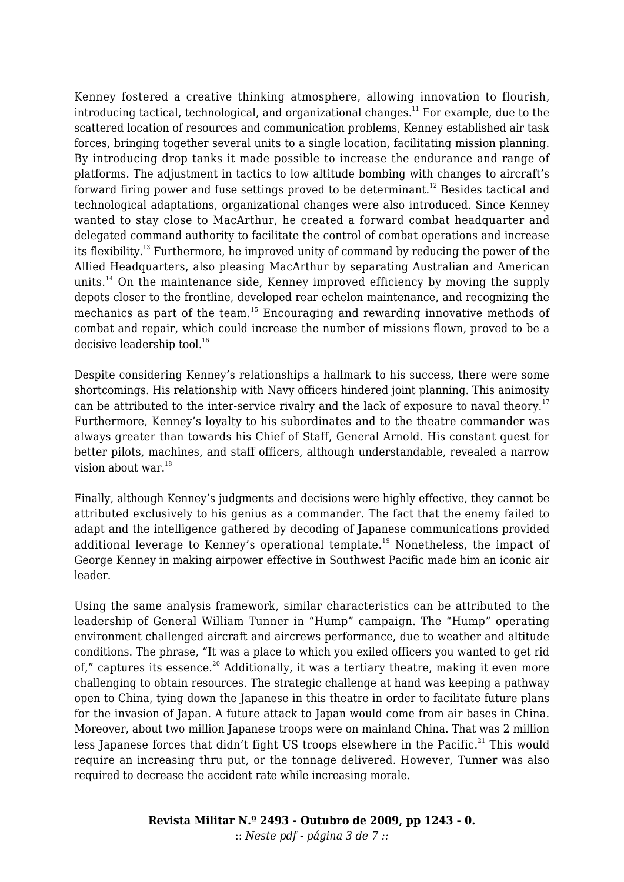Kenney fostered a creative thinking atmosphere, allowing innovation to flourish, introducing tactical, technological, and organizational changes.<sup>11</sup> For example, due to the scattered location of resources and communication problems, Kenney established air task forces, bringing together several units to a single location, facilitating mission planning. By introducing drop tanks it made possible to increase the endurance and range of platforms. The adjustment in tactics to low altitude bombing with changes to aircraft's forward firing power and fuse settings proved to be determinant.<sup>12</sup> Besides tactical and technological adaptations, organizational changes were also introduced. Since Kenney wanted to stay close to MacArthur, he created a forward combat headquarter and delegated command authority to facilitate the control of combat operations and increase its flexibility.<sup>13</sup> Furthermore, he improved unity of command by reducing the power of the Allied Headquarters, also pleasing MacArthur by separating Australian and American units.<sup>14</sup> On the maintenance side, Kenney improved efficiency by moving the supply depots closer to the frontline, developed rear echelon maintenance, and recognizing the mechanics as part of the team.<sup>15</sup> Encouraging and rewarding innovative methods of combat and repair, which could increase the number of missions flown, proved to be a decisive leadership tool. $16$ 

Despite considering Kenney's relationships a hallmark to his success, there were some shortcomings. His relationship with Navy officers hindered joint planning. This animosity can be attributed to the inter-service rivalry and the lack of exposure to naval theory.<sup>17</sup> Furthermore, Kenney's loyalty to his subordinates and to the theatre commander was always greater than towards his Chief of Staff, General Arnold. His constant quest for better pilots, machines, and staff officers, although understandable, revealed a narrow vision about war. $18$ 

Finally, although Kenney's judgments and decisions were highly effective, they cannot be attributed exclusively to his genius as a commander. The fact that the enemy failed to adapt and the intelligence gathered by decoding of Japanese communications provided additional leverage to Kenney's operational template.<sup>19</sup> Nonetheless, the impact of George Kenney in making airpower effective in Southwest Pacific made him an iconic air leader.

Using the same analysis framework, similar characteristics can be attributed to the leadership of General William Tunner in "Hump" campaign. The "Hump" operating environment challenged aircraft and aircrews performance, due to weather and altitude conditions. The phrase, "It was a place to which you exiled officers you wanted to get rid of," captures its essence.<sup>20</sup> Additionally, it was a tertiary theatre, making it even more challenging to obtain resources. The strategic challenge at hand was keeping a pathway open to China, tying down the Japanese in this theatre in order to facilitate future plans for the invasion of Japan. A future attack to Japan would come from air bases in China. Moreover, about two million Japanese troops were on mainland China. That was 2 million less Japanese forces that didn't fight US troops elsewhere in the Pacific.<sup>21</sup> This would require an increasing thru put, or the tonnage delivered. However, Tunner was also required to decrease the accident rate while increasing morale.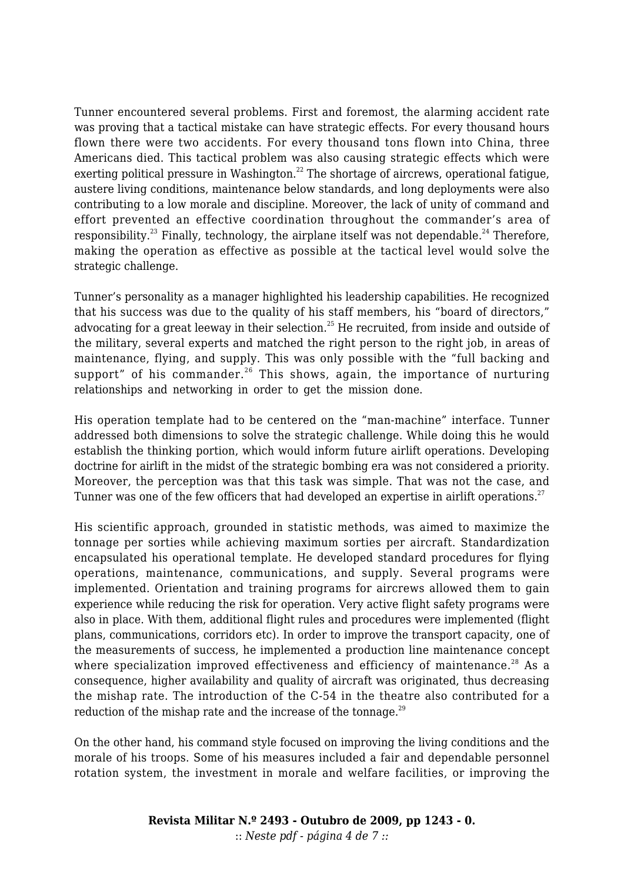Tunner encountered several problems. First and foremost, the alarming accident rate was proving that a tactical mistake can have strategic effects. For every thousand hours flown there were two accidents. For every thousand tons flown into China, three Americans died. This tactical problem was also causing strategic effects which were exerting political pressure in Washington.<sup>22</sup> The shortage of aircrews, operational fatigue, austere living conditions, maintenance below standards, and long deployments were also contributing to a low morale and discipline. Moreover, the lack of unity of command and effort prevented an effective coordination throughout the commander's area of responsibility.<sup>23</sup> Finally, technology, the airplane itself was not dependable.<sup>24</sup> Therefore, making the operation as effective as possible at the tactical level would solve the strategic challenge.

Tunner's personality as a manager highlighted his leadership capabilities. He recognized that his success was due to the quality of his staff members, his "board of directors," advocating for a great leeway in their selection.<sup>25</sup> He recruited, from inside and outside of the military, several experts and matched the right person to the right job, in areas of maintenance, flying, and supply. This was only possible with the "full backing and support" of his commander.<sup>26</sup> This shows, again, the importance of nurturing relationships and networking in order to get the mission done.

His operation template had to be centered on the "man-machine" interface. Tunner addressed both dimensions to solve the strategic challenge. While doing this he would establish the thinking portion, which would inform future airlift operations. Developing doctrine for airlift in the midst of the strategic bombing era was not considered a priority. Moreover, the perception was that this task was simple. That was not the case, and Tunner was one of the few officers that had developed an expertise in airlift operations.<sup>27</sup>

His scientific approach, grounded in statistic methods, was aimed to maximize the tonnage per sorties while achieving maximum sorties per aircraft. Standardization encapsulated his operational template. He developed standard procedures for flying operations, maintenance, communications, and supply. Several programs were implemented. Orientation and training programs for aircrews allowed them to gain experience while reducing the risk for operation. Very active flight safety programs were also in place. With them, additional flight rules and procedures were implemented (flight plans, communications, corridors etc). In order to improve the transport capacity, one of the measurements of success, he implemented a production line maintenance concept where specialization improved effectiveness and efficiency of maintenance.<sup>28</sup> As a consequence, higher availability and quality of aircraft was originated, thus decreasing the mishap rate. The introduction of the C-54 in the theatre also contributed for a reduction of the mishap rate and the increase of the tonnage. $^{29}$ 

On the other hand, his command style focused on improving the living conditions and the morale of his troops. Some of his measures included a fair and dependable personnel rotation system, the investment in morale and welfare facilities, or improving the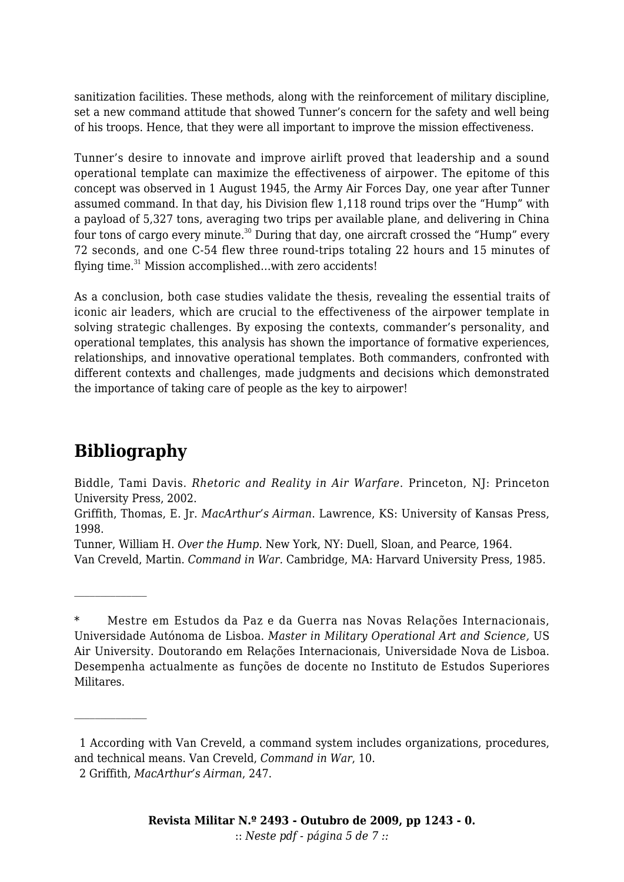sanitization facilities. These methods, along with the reinforcement of military discipline, set a new command attitude that showed Tunner's concern for the safety and well being of his troops. Hence, that they were all important to improve the mission effectiveness.

Tunner's desire to innovate and improve airlift proved that leadership and a sound operational template can maximize the effectiveness of airpower. The epitome of this concept was observed in 1 August 1945, the Army Air Forces Day, one year after Tunner assumed command. In that day, his Division flew 1,118 round trips over the "Hump" with a payload of 5,327 tons, averaging two trips per available plane, and delivering in China four tons of cargo every minute.<sup>30</sup> During that day, one aircraft crossed the "Hump" every 72 seconds, and one C-54 flew three round-trips totaling 22 hours and 15 minutes of flying time.<sup>31</sup> Mission accomplished...with zero accidents!

As a conclusion, both case studies validate the thesis, revealing the essential traits of iconic air leaders, which are crucial to the effectiveness of the airpower template in solving strategic challenges. By exposing the contexts, commander's personality, and operational templates, this analysis has shown the importance of formative experiences, relationships, and innovative operational templates. Both commanders, confronted with different contexts and challenges, made judgments and decisions which demonstrated the importance of taking care of people as the key to airpower!

## **Bibliography**

Biddle, Tami Davis. *Rhetoric and Reality in Air Warfare*. Princeton, NJ: Princeton University Press, 2002.

Griffith, Thomas, E. Jr. *MacArthur's Airman*. Lawrence, KS: University of Kansas Press, 1998.

Tunner, William H. *Over the Hump*. New York, NY: Duell, Sloan, and Pearce, 1964.

Van Creveld, Martin. *Command in War.* Cambridge, MA: Harvard University Press, 1985.

Mestre em Estudos da Paz e da Guerra nas Novas Relações Internacionais, Universidade Autónoma de Lisboa. *Master in Military Operational Art and Science,* US Air University. Doutorando em Relações Internacionais, Universidade Nova de Lisboa. Desempenha actualmente as funções de docente no Instituto de Estudos Superiores Militares.

 <sup>1</sup> According with Van Creveld, a command system includes organizations, procedures, and technical means. Van Creveld, *Command in War*, 10.

 <sup>2</sup> Griffith, *MacArthur's Airman*, 247.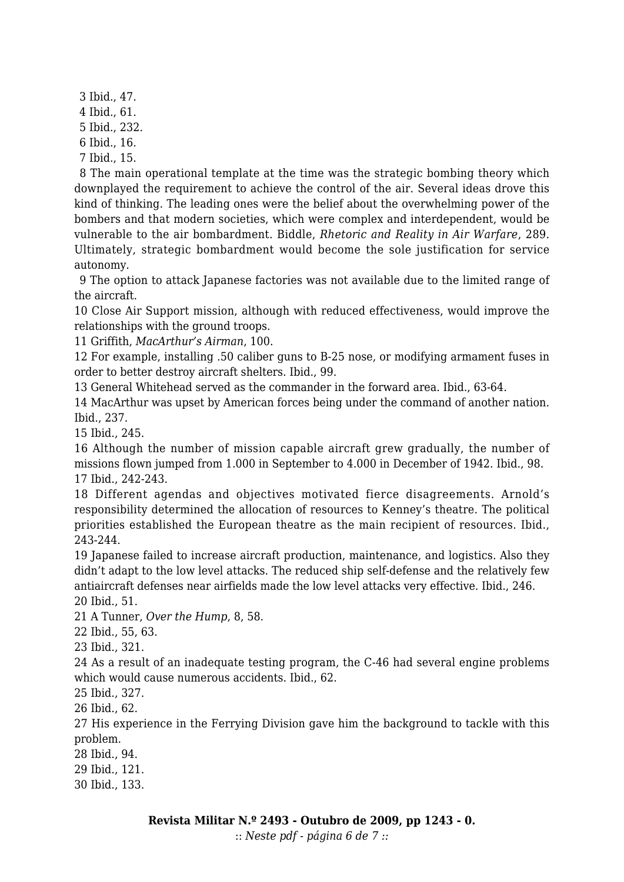3 Ibid., 47. 4 Ibid., 61. 5 Ibid., 232. 6 Ibid., 16. 7 Ibid., 15.

 8 The main operational template at the time was the strategic bombing theory which downplayed the requirement to achieve the control of the air. Several ideas drove this kind of thinking. The leading ones were the belief about the overwhelming power of the bombers and that modern societies, which were complex and interdependent, would be vulnerable to the air bombardment. Biddle, *Rhetoric and Reality in Air Warfare*, 289. Ultimately, strategic bombardment would become the sole justification for service autonomy.

 9 The option to attack Japanese factories was not available due to the limited range of the aircraft.

10 Close Air Support mission, although with reduced effectiveness, would improve the relationships with the ground troops.

11 Griffith, *MacArthur's Airman*, 100.

12 For example, installing .50 caliber guns to B-25 nose, or modifying armament fuses in order to better destroy aircraft shelters. Ibid., 99.

13 General Whitehead served as the commander in the forward area. Ibid., 63-64.

14 MacArthur was upset by American forces being under the command of another nation. Ibid., 237.

15 Ibid., 245.

16 Although the number of mission capable aircraft grew gradually, the number of missions flown jumped from 1.000 in September to 4.000 in December of 1942. Ibid., 98. 17 Ibid., 242-243.

18 Different agendas and objectives motivated fierce disagreements. Arnold's responsibility determined the allocation of resources to Kenney's theatre. The political priorities established the European theatre as the main recipient of resources. Ibid., 243-244.

19 Japanese failed to increase aircraft production, maintenance, and logistics. Also they didn't adapt to the low level attacks. The reduced ship self-defense and the relatively few antiaircraft defenses near airfields made the low level attacks very effective. Ibid., 246. 20 Ibid., 51.

21 A Tunner, *Over the Hump*, 8, 58.

22 Ibid., 55, 63.

23 Ibid., 321.

24 As a result of an inadequate testing program, the C-46 had several engine problems which would cause numerous accidents. Ibid., 62.

25 Ibid., 327.

26 Ibid., 62.

27 His experience in the Ferrying Division gave him the background to tackle with this problem.

28 Ibid., 94.

29 Ibid., 121.

30 Ibid., 133.

:: *Neste pdf - página 6 de 7 ::*